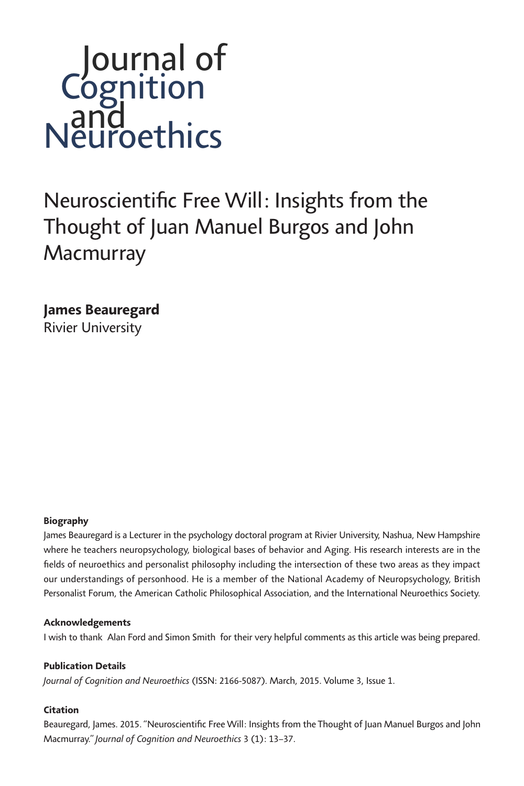# *Neuroscientific Free Will: Insights from the Thought of Juan Manuel Burgos and John Macmurray*

*James Beauregard Rivier University*

#### *Biography*

James Beauregard is a Lecturer in the psychology doctoral program at Rivier University, Nashua, New Hampshire *where he teachers neuropsychology, biological bases of behavior and Aging. His research interests are in the fields of neuroethics and personalist philosophy including the intersection of these two areas as they impact our understandings of personhood. He is a member of the National Academy of Neuropsychology, British Personalist Forum, the American Catholic Philosophical Association, and the International Neuroethics Society.*

#### *Acknowledgements*

*I wish to thank Alan Ford and Simon Smith for their very helpful comments as this article was being prepared.*

#### *Publication Details*

*Journal of Cognition and Neuroethics (ISSN: 2166-5087). March, 2015. Volume 3, Issue 1.*

#### *Citation*

*Beauregard, James. 2015. "Neuroscientific Free Will: Insights from the Thought of Juan Manuel Burgos and John Macmurray." Journal of Cognition and Neuroethics 3 (1): 13–37.*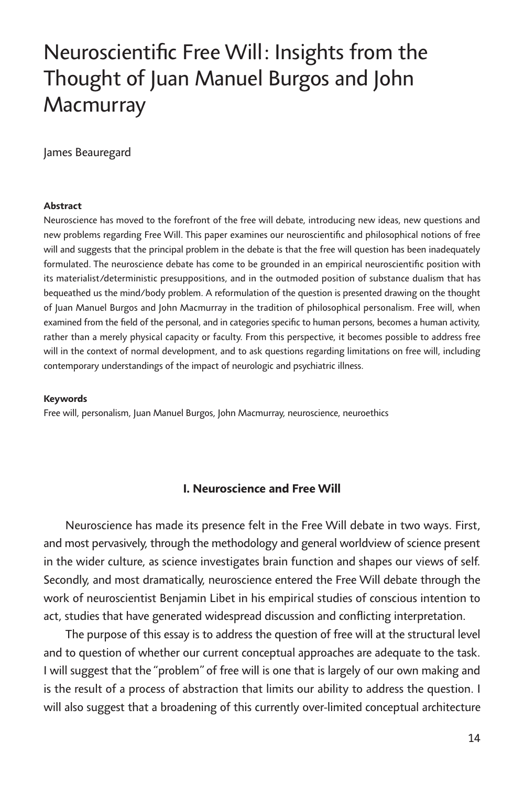# *Neuroscientific Free Will: Insights from the Thought of Juan Manuel Burgos and John Macmurray*

*James Beauregard*

#### *Abstract*

*Neuroscience has moved to the forefront of the free will debate, introducing new ideas, new questions and new problems regarding Free Will. This paper examines our neuroscientific and philosophical notions of free*  will and suggests that the principal problem in the debate is that the free will question has been inadequately *formulated. The neuroscience debate has come to be grounded in an empirical neuroscientific position with its materialist/deterministic presuppositions, and in the outmoded position of substance dualism that has bequeathed us the mind/body problem. A reformulation of the question is presented drawing on the thought of Juan Manuel Burgos and John Macmurray in the tradition of philosophical personalism. Free will, when examined from the field of the personal, and in categories specific to human persons, becomes a human activity, rather than a merely physical capacity or faculty. From this perspective, it becomes possible to address free*  will in the context of normal development, and to ask questions regarding limitations on free will, including *contemporary understandings of the impact of neurologic and psychiatric illness.* 

#### *Keywords*

*Free will, personalism, Juan Manuel Burgos, John Macmurray, neuroscience, neuroethics*

#### *I. Neuroscience and Free Will*

*Neuroscience has made its presence felt in the Free Will debate in two ways. First, and most pervasively, through the methodology and general worldview of science present*  in the wider culture, as science investigates brain function and shapes our views of self. *Secondly, and most dramatically, neuroscience entered the Free Will debate through the work of neuroscientist Benjamin Libet in his empirical studies of conscious intention to act, studies that have generated widespread discussion and conflicting interpretation.*

*The purpose of this essay is to address the question of free will at the structural level and to question of whether our current conceptual approaches are adequate to the task. I* will suggest that the "problem" of free will is one that is largely of our own making and *is the result of a process of abstraction that limits our ability to address the question. I will also suggest that a broadening of this currently over-limited conceptual architecture*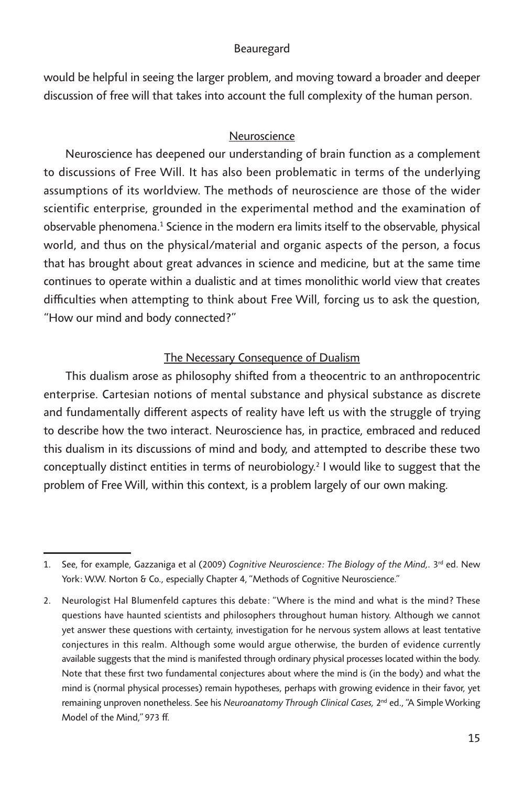*would be helpful in seeing the larger problem, and moving toward a broader and deeper discussion of free will that takes into account the full complexity of the human person.* 

# *Neuroscience*

*Neuroscience has deepened our understanding of brain function as a complement to discussions of Free Will. It has also been problematic in terms of the underlying assumptions of its worldview. The methods of neuroscience are those of the wider scientific enterprise, grounded in the experimental method and the examination of observable phenomena.1 Science in the modern era limits itself to the observable, physical world, and thus on the physical/material and organic aspects of the person, a focus that has brought about great advances in science and medicine, but at the same time continues to operate within a dualistic and at times monolithic world view that creates difficulties when attempting to think about Free Will, forcing us to ask the question, "How our mind and body connected?"*

# *The Necessary Consequence of Dualism*

*This dualism arose as philosophy shifted from a theocentric to an anthropocentric enterprise. Cartesian notions of mental substance and physical substance as discrete and fundamentally different aspects of reality have left us with the struggle of trying*  to describe how the two interact. Neuroscience has, in practice, embraced and reduced *this dualism in its discussions of mind and body, and attempted to describe these two conceptually distinct entities in terms of neurobiology.2 I would like to suggest that the problem of Free Will, within this context, is a problem largely of our own making.*

*<sup>1.</sup> See, for example, Gazzaniga et al (2009) Cognitive Neuroscience: The Biology of the Mind,. 3rd ed. New York: W.W. Norton & Co., especially Chapter 4, "Methods of Cognitive Neuroscience."*

*<sup>2.</sup> Neurologist Hal Blumenfeld captures this debate: "Where is the mind and what is the mind? These questions have haunted scientists and philosophers throughout human history. Although we cannot yet answer these questions with certainty, investigation for he nervous system allows at least tentative conjectures in this realm. Although some would argue otherwise, the burden of evidence currently available suggests that the mind is manifested through ordinary physical processes located within the body. Note that these first two fundamental conjectures about where the mind is (in the body) and what the mind is (normal physical processes) remain hypotheses, perhaps with growing evidence in their favor, yet remaining unproven nonetheless. See his Neuroanatomy Through Clinical Cases, 2nd ed., "A Simple Working Model of the Mind," 973 ff.*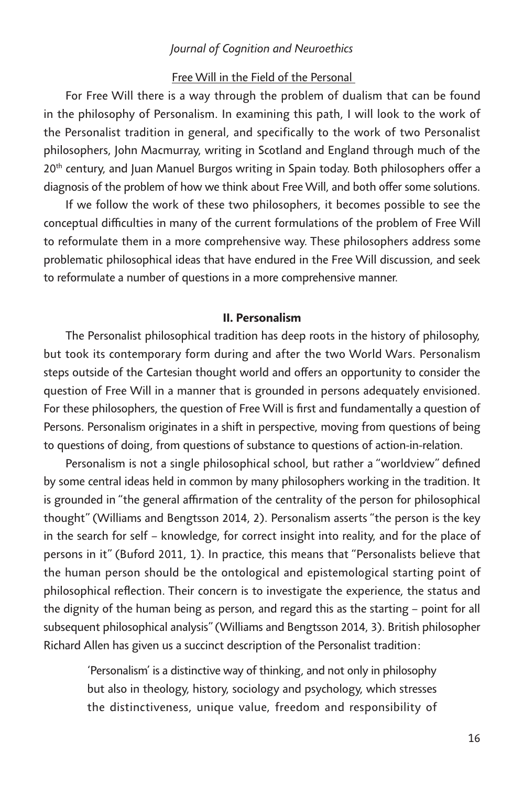# *Free Will in the Field of the Personal*

For Free Will there is a way through the problem of dualism that can be found in the philosophy of Personalism. In examining this path, I will look to the work of *the Personalist tradition in general, and specifically to the work of two Personalist philosophers, John Macmurray, writing in Scotland and England through much of the 20th century, and Juan Manuel Burgos writing in Spain today. Both philosophers offer a diagnosis of the problem of how we think about Free Will, and both offer some solutions.*

If we follow the work of these two philosophers, it becomes possible to see the conceptual difficulties in many of the current formulations of the problem of Free Will *to reformulate them in a more comprehensive way. These philosophers address some problematic philosophical ideas that have endured in the Free Will discussion, and seek to reformulate a number of questions in a more comprehensive manner.*

#### *II. Personalism*

*The Personalist philosophical tradition has deep roots in the history of philosophy, but took its contemporary form during and after the two World Wars. Personalism steps outside of the Cartesian thought world and offers an opportunity to consider the question of Free Will in a manner that is grounded in persons adequately envisioned.*  For these philosophers, the question of Free Will is first and fundamentally a question of *Persons. Personalism originates in a shift in perspective, moving from questions of being to questions of doing, from questions of substance to questions of action-in-relation.* 

*Personalism is not a single philosophical school, but rather a "worldview" defined*  by some central ideas held in common by many philosophers working in the tradition. It is grounded in "the general affirmation of the centrality of the person for philosophical *thought" (Williams and Bengtsson 2014, 2). Personalism asserts "the person is the key in the search for self – knowledge, for correct insight into reality, and for the place of persons in it" (Buford 2011, 1). In practice, this means that "Personalists believe that the human person should be the ontological and epistemological starting point of philosophical reflection. Their concern is to investigate the experience, the status and the dignity of the human being as person, and regard this as the starting – point for all subsequent philosophical analysis" (Williams and Bengtsson 2014, 3). British philosopher Richard Allen has given us a succinct description of the Personalist tradition:*

*'Personalism' is a distinctive way of thinking, and not only in philosophy but also in theology, history, sociology and psychology, which stresses the distinctiveness, unique value, freedom and responsibility of*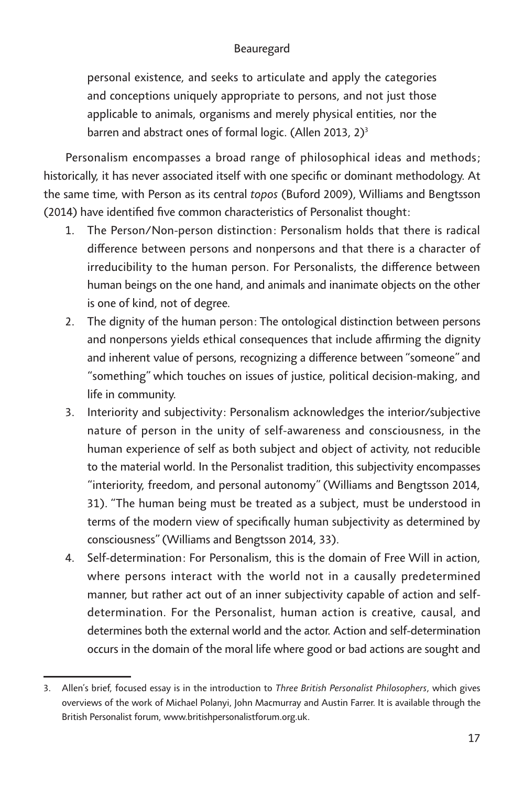*personal existence, and seeks to articulate and apply the categories and conceptions uniquely appropriate to persons, and not just those applicable to animals, organisms and merely physical entities, nor the barren and abstract ones of formal logic. (Allen 2013, 2)3*

*Personalism encompasses a broad range of philosophical ideas and methods; historically, it has never associated itself with one specific or dominant methodology. At the same time, with Person as its central topos (Buford 2009), Williams and Bengtsson (2014) have identified five common characteristics of Personalist thought:*

- *1. The Person/Non-person distinction: Personalism holds that there is radical difference between persons and nonpersons and that there is a character of irreducibility to the human person. For Personalists, the difference between human beings on the one hand, and animals and inanimate objects on the other is one of kind, not of degree.*
- *2. The dignity of the human person: The ontological distinction between persons*  and nonpersons yields ethical consequences that include affirming the dignity *and inherent value of persons, recognizing a difference between "someone" and "something" which touches on issues of justice, political decision-making, and life in community.*
- *3. Interiority and subjectivity: Personalism acknowledges the interior/subjective nature of person in the unity of self-awareness and consciousness, in the human experience of self as both subject and object of activity, not reducible to the material world. In the Personalist tradition, this subjectivity encompasses "interiority, freedom, and personal autonomy" (Williams and Bengtsson 2014, 31). "The human being must be treated as a subject, must be understood in terms of the modern view of specifically human subjectivity as determined by consciousness" (Williams and Bengtsson 2014, 33).*
- *4. Self-determination: For Personalism, this is the domain of Free Will in action, where persons interact with the world not in a causally predetermined manner, but rather act out of an inner subjectivity capable of action and selfdetermination. For the Personalist, human action is creative, causal, and determines both the external world and the actor. Action and self-determination occurs in the domain of the moral life where good or bad actions are sought and*

*<sup>3.</sup> Allen's brief, focused essay is in the introduction to Three British Personalist Philosophers, which gives overviews of the work of Michael Polanyi, John Macmurray and Austin Farrer. It is available through the British Personalist forum, www.britishpersonalistforum.org.uk.*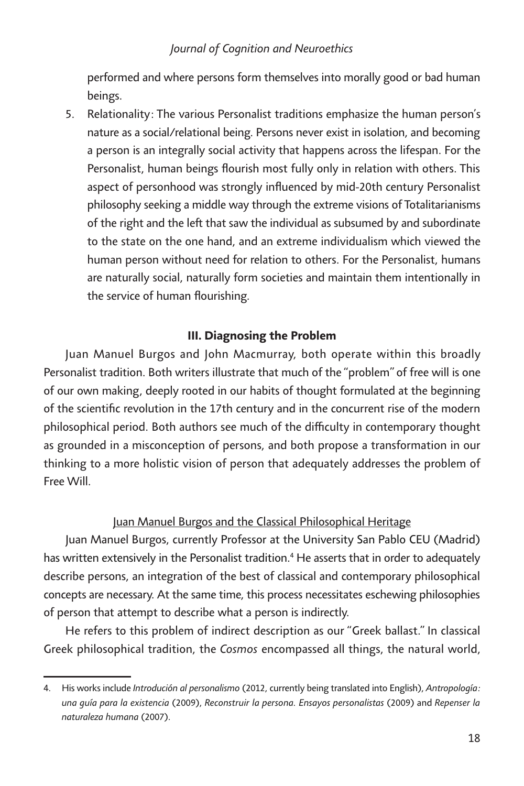*performed and where persons form themselves into morally good or bad human beings.*

*5. Relationality: The various Personalist traditions emphasize the human person's nature as a social/relational being. Persons never exist in isolation, and becoming a person is an integrally social activity that happens across the lifespan. For the Personalist, human beings flourish most fully only in relation with others. This aspect of personhood was strongly influenced by mid-20th century Personalist philosophy seeking a middle way through the extreme visions of Totalitarianisms of the right and the left that saw the individual as subsumed by and subordinate to the state on the one hand, and an extreme individualism which viewed the human person without need for relation to others. For the Personalist, humans are naturally social, naturally form societies and maintain them intentionally in the service of human flourishing.*

# *III. Diagnosing the Problem*

*Juan Manuel Burgos and John Macmurray, both operate within this broadly Personalist tradition. Both writers illustrate that much of the "problem" of free will is one of our own making, deeply rooted in our habits of thought formulated at the beginning of the scientific revolution in the 17th century and in the concurrent rise of the modern philosophical period. Both authors see much of the difficulty in contemporary thought as grounded in a misconception of persons, and both propose a transformation in our thinking to a more holistic vision of person that adequately addresses the problem of Free Will.*

# *Juan Manuel Burgos and the Classical Philosophical Heritage*

Juan Manuel Burgos, currently Professor at the University San Pablo CEU (Madrid) *has written extensively in the Personalist tradition.4 He asserts that in order to adequately describe persons, an integration of the best of classical and contemporary philosophical concepts are necessary. At the same time, this process necessitates eschewing philosophies of person that attempt to describe what a person is indirectly.*

*He refers to this problem of indirect description as our "Greek ballast." In classical Greek philosophical tradition, the Cosmos encompassed all things, the natural world,* 

*<sup>4.</sup> His works include Introdución al personalismo (2012, currently being translated into English), Antropología: una guía para la existencia (2009), Reconstruir la persona. Ensayos personalistas (2009) and Repenser la naturaleza humana (2007).*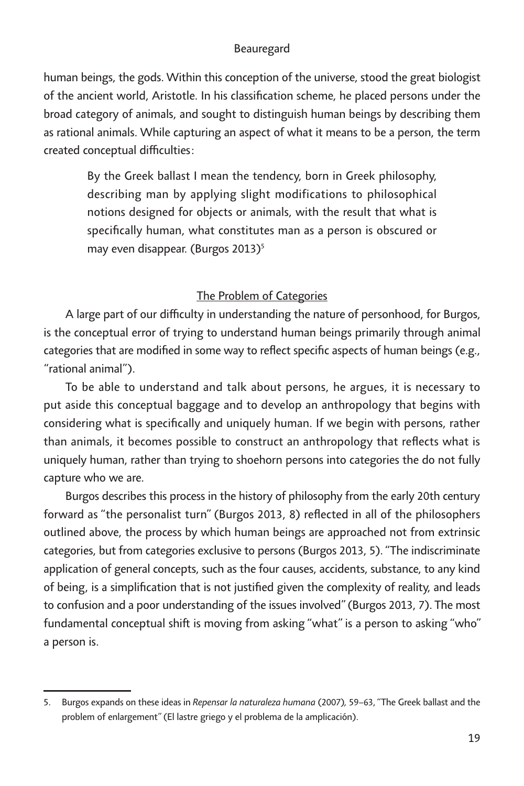*human beings, the gods. Within this conception of the universe, stood the great biologist of the ancient world, Aristotle. In his classification scheme, he placed persons under the broad category of animals, and sought to distinguish human beings by describing them as rational animals. While capturing an aspect of what it means to be a person, the term created conceptual difficulties:*

*By the Greek ballast I mean the tendency, born in Greek philosophy, describing man by applying slight modifications to philosophical notions designed for objects or animals, with the result that what is specifically human, what constitutes man as a person is obscured or may even disappear. (Burgos 2013)5*

# *The Problem of Categories*

*A large part of our difficulty in understanding the nature of personhood, for Burgos, is the conceptual error of trying to understand human beings primarily through animal categories that are modified in some way to reflect specific aspects of human beings (e.g., "rational animal").*

*To be able to understand and talk about persons, he argues, it is necessary to put aside this conceptual baggage and to develop an anthropology that begins with considering what is specifically and uniquely human. If we begin with persons, rather than animals, it becomes possible to construct an anthropology that reflects what is uniquely human, rather than trying to shoehorn persons into categories the do not fully capture who we are.*

*Burgos describes this process in the history of philosophy from the early 20th century forward as "the personalist turn" (Burgos 2013, 8) reflected in all of the philosophers outlined above, the process by which human beings are approached not from extrinsic categories, but from categories exclusive to persons (Burgos 2013, 5). "The indiscriminate*  application of general concepts, such as the four causes, accidents, substance, to any kind *of being, is a simplification that is not justified given the complexity of reality, and leads*  to confusion and a poor understanding of the issues involved" (Burgos 2013, 7). The most *fundamental conceptual shift is moving from asking "what" is a person to asking "who" a person is.*

*<sup>5.</sup> Burgos expands on these ideas in Repensar la naturaleza humana (2007), 59–63, "The Greek ballast and the problem of enlargement" (El lastre griego y el problema de la amplicación).*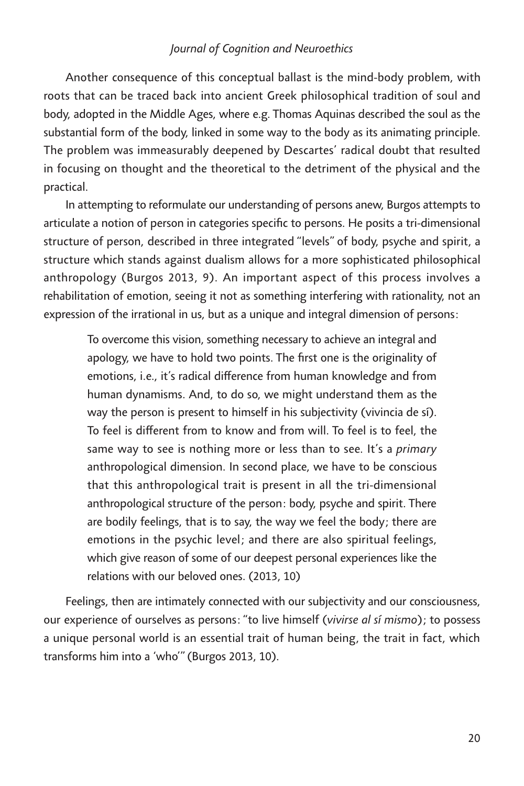*Another consequence of this conceptual ballast is the mind-body problem, with*  roots that can be traced back into ancient Greek philosophical tradition of soul and body, adopted in the Middle Ages, where e.g. Thomas Aquinas described the soul as the *substantial form of the body, linked in some way to the body as its animating principle. The problem was immeasurably deepened by Descartes' radical doubt that resulted in focusing on thought and the theoretical to the detriment of the physical and the practical.*

*In attempting to reformulate our understanding of persons anew, Burgos attempts to articulate a notion of person in categories specific to persons. He posits a tri-dimensional structure of person, described in three integrated "levels" of body, psyche and spirit, a structure which stands against dualism allows for a more sophisticated philosophical anthropology (Burgos 2013, 9). An important aspect of this process involves a*  rehabilitation of emotion, seeing it not as something interfering with rationality, not an *expression of the irrational in us, but as a unique and integral dimension of persons:*

*To overcome this vision, something necessary to achieve an integral and*  apology, we have to hold two points. The first one is the originality of *emotions, i.e., it's radical difference from human knowledge and from human dynamisms. And, to do so, we might understand them as the way the person is present to himself in his subjectivity (vivincia de sí). To feel is different from to know and from will. To feel is to feel, the*  same way to see is nothing more or less than to see. It's a *primary anthropological dimension. In second place, we have to be conscious that this anthropological trait is present in all the tri-dimensional anthropological structure of the person: body, psyche and spirit. There are bodily feelings, that is to say, the way we feel the body; there are emotions in the psychic level; and there are also spiritual feelings, which give reason of some of our deepest personal experiences like the relations with our beloved ones. (2013, 10)*

*Feelings, then are intimately connected with our subjectivity and our consciousness, our experience of ourselves as persons: "to live himself (vivirse al sí mismo); to possess a unique personal world is an essential trait of human being, the trait in fact, which transforms him into a 'who'" (Burgos 2013, 10).*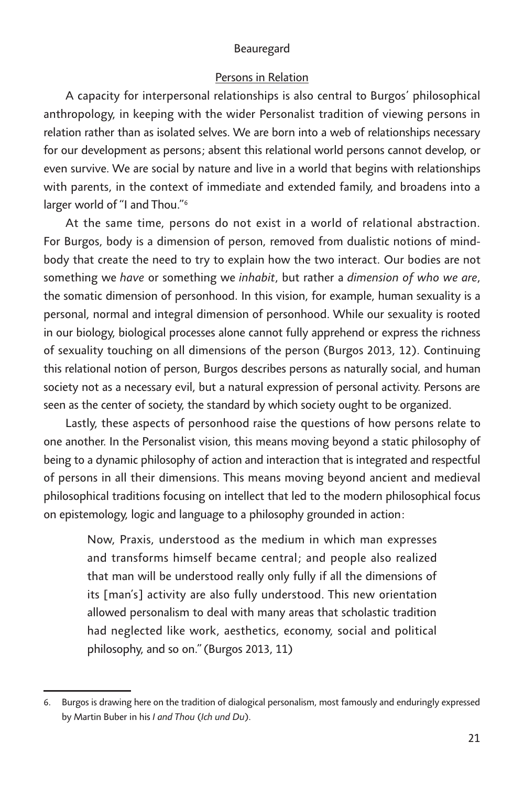#### *Persons in Relation*

*A capacity for interpersonal relationships is also central to Burgos' philosophical*  anthropology, in keeping with the wider Personalist tradition of viewing persons in *relation rather than as isolated selves. We are born into a web of relationships necessary for our development as persons; absent this relational world persons cannot develop, or even survive. We are social by nature and live in a world that begins with relationships*  with parents, in the context of immediate and extended family, and broadens into a *larger world of "I and Thou."6*

*At the same time, persons do not exist in a world of relational abstraction. For Burgos, body is a dimension of person, removed from dualistic notions of mind*body that create the need to try to explain how the two interact. Our bodies are not *something we have or something we inhabit, but rather a dimension of who we are, the somatic dimension of personhood. In this vision, for example, human sexuality is a personal, normal and integral dimension of personhood. While our sexuality is rooted in our biology, biological processes alone cannot fully apprehend or express the richness of sexuality touching on all dimensions of the person (Burgos 2013, 12). Continuing this relational notion of person, Burgos describes persons as naturally social, and human society not as a necessary evil, but a natural expression of personal activity. Persons are*  seen as the center of society, the standard by which society ought to be organized.

*Lastly, these aspects of personhood raise the questions of how persons relate to one another. In the Personalist vision, this means moving beyond a static philosophy of*  being to a dynamic philosophy of action and interaction that is integrated and respectful of persons in all their dimensions. This means moving beyond ancient and medieval *philosophical traditions focusing on intellect that led to the modern philosophical focus on epistemology, logic and language to a philosophy grounded in action:*

*Now, Praxis, understood as the medium in which man expresses and transforms himself became central; and people also realized that man will be understood really only fully if all the dimensions of its [man's] activity are also fully understood. This new orientation allowed personalism to deal with many areas that scholastic tradition*  had neglected like work, aesthetics, economy, social and political *philosophy, and so on." (Burgos 2013, 11)*

*<sup>6.</sup> Burgos is drawing here on the tradition of dialogical personalism, most famously and enduringly expressed by Martin Buber in his I and Thou (Ich und Du).*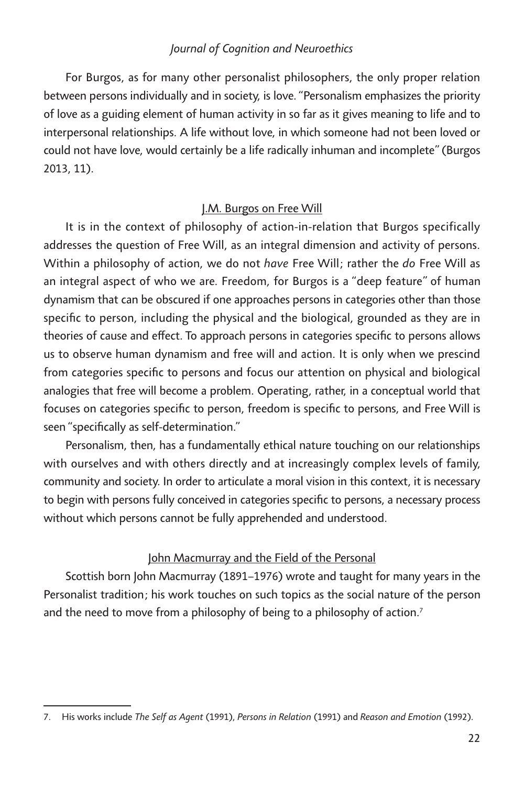For Burgos, as for many other personalist philosophers, the only proper relation between persons individually and in society, is love. "Personalism emphasizes the priority *of love as a guiding element of human activity in so far as it gives meaning to life and to interpersonal relationships. A life without love, in which someone had not been loved or could not have love, would certainly be a life radically inhuman and incomplete" (Burgos 2013, 11).*

# *J.M. Burgos on Free Will*

*It is in the context of philosophy of action-in-relation that Burgos specifically addresses the question of Free Will, as an integral dimension and activity of persons. Within a philosophy of action, we do not have Free Will; rather the do Free Will as*  an integral aspect of who we are. Freedom, for Burgos is a "deep feature" of human *dynamism that can be obscured if one approaches persons in categories other than those specific to person, including the physical and the biological, grounded as they are in theories of cause and effect. To approach persons in categories specific to persons allows us to observe human dynamism and free will and action. It is only when we prescind*  from categories specific to persons and focus our attention on physical and biological analogies that free will become a problem. Operating, rather, in a conceptual world that *focuses on categories specific to person, freedom is specific to persons, and Free Will is seen "specifically as self-determination."*

*Personalism, then, has a fundamentally ethical nature touching on our relationships with ourselves and with others directly and at increasingly complex levels of family, community and society. In order to articulate a moral vision in this context, it is necessary to begin with persons fully conceived in categories specific to persons, a necessary process without which persons cannot be fully apprehended and understood.*

# *John Macmurray and the Field of the Personal*

*Scottish born John Macmurray (1891–1976) wrote and taught for many years in the Personalist tradition; his work touches on such topics as the social nature of the person and the need to move from a philosophy of being to a philosophy of action.7*

*<sup>7.</sup> His works include The Self as Agent (1991), Persons in Relation (1991) and Reason and Emotion (1992).*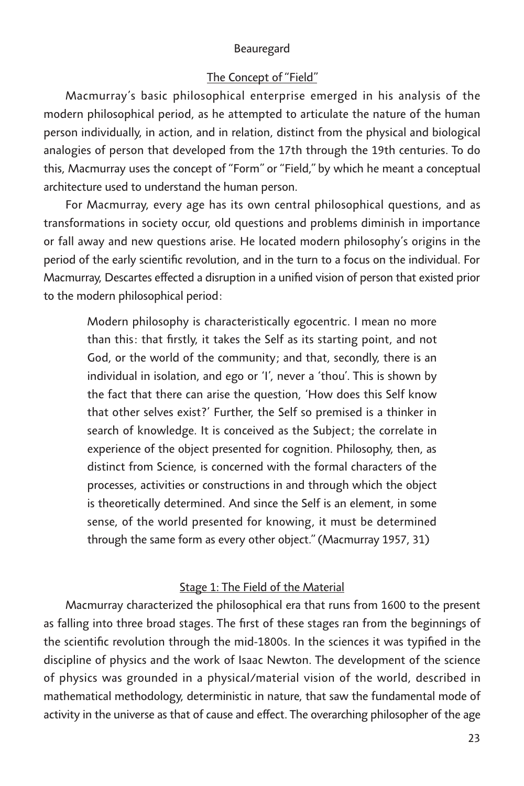# *The Concept of "Field"*

*Macmurray's basic philosophical enterprise emerged in his analysis of the modern philosophical period, as he attempted to articulate the nature of the human person individually, in action, and in relation, distinct from the physical and biological analogies of person that developed from the 17th through the 19th centuries. To do this, Macmurray uses the concept of "Form" or "Field," by which he meant a conceptual architecture used to understand the human person.* 

*For Macmurray, every age has its own central philosophical questions, and as transformations in society occur, old questions and problems diminish in importance or fall away and new questions arise. He located modern philosophy's origins in the period of the early scientific revolution, and in the turn to a focus on the individual. For Macmurray, Descartes effected a disruption in a unified vision of person that existed prior to the modern philosophical period:*

*Modern philosophy is characteristically egocentric. I mean no more than this: that firstly, it takes the Self as its starting point, and not God, or the world of the community; and that, secondly, there is an individual in isolation, and ego or 'I', never a 'thou'. This is shown by the fact that there can arise the question, 'How does this Self know that other selves exist?' Further, the Self so premised is a thinker in search of knowledge. It is conceived as the Subject; the correlate in experience of the object presented for cognition. Philosophy, then, as distinct from Science, is concerned with the formal characters of the processes, activities or constructions in and through which the object is theoretically determined. And since the Self is an element, in some sense, of the world presented for knowing, it must be determined through the same form as every other object." (Macmurray 1957, 31)*

# *Stage 1: The Field of the Material*

*Macmurray characterized the philosophical era that runs from 1600 to the present as falling into three broad stages. The first of these stages ran from the beginnings of the scientific revolution through the mid-1800s. In the sciences it was typified in the discipline of physics and the work of Isaac Newton. The development of the science of physics was grounded in a physical/material vision of the world, described in mathematical methodology, deterministic in nature, that saw the fundamental mode of activity in the universe as that of cause and effect. The overarching philosopher of the age*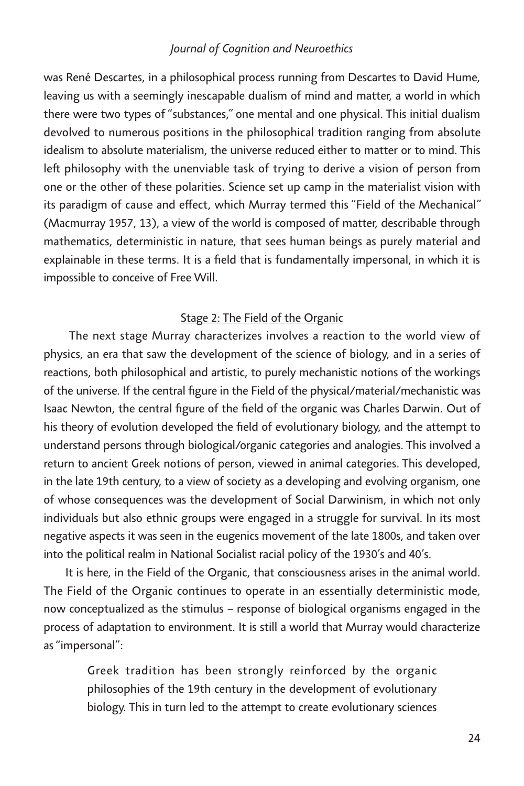was René Descartes, in a philosophical process running from Descartes to David Hume, leaving us with a seemingly inescapable dualism of mind and matter, a world in which *there were two types of "substances," one mental and one physical. This initial dualism devolved to numerous positions in the philosophical tradition ranging from absolute idealism to absolute materialism, the universe reduced either to matter or to mind. This left philosophy with the unenviable task of trying to derive a vision of person from one or the other of these polarities. Science set up camp in the materialist vision with its paradigm of cause and effect, which Murray termed this "Field of the Mechanical" (Macmurray 1957, 13), a view of the world is composed of matter, describable through mathematics, deterministic in nature, that sees human beings as purely material and*  explainable in these terms. It is a field that is fundamentally impersonal, in which it is *impossible to conceive of Free Will.*

# *Stage 2: The Field of the Organic*

 *The next stage Murray characterizes involves a reaction to the world view of physics, an era that saw the development of the science of biology, and in a series of reactions, both philosophical and artistic, to purely mechanistic notions of the workings of the universe. If the central figure in the Field of the physical/material/mechanistic was*  Isaac Newton, the central figure of the field of the organic was Charles Darwin. Out of *his theory of evolution developed the field of evolutionary biology, and the attempt to understand persons through biological/organic categories and analogies. This involved a return to ancient Greek notions of person, viewed in animal categories. This developed, in the late 19th century, to a view of society as a developing and evolving organism, one of whose consequences was the development of Social Darwinism, in which not only*  individuals but also ethnic groups were engaged in a struggle for survival. In its most *negative aspects it was seen in the eugenics movement of the late 1800s, and taken over into the political realm in National Socialist racial policy of the 1930's and 40's.* 

*It is here, in the Field of the Organic, that consciousness arises in the animal world. The Field of the Organic continues to operate in an essentially deterministic mode, now conceptualized as the stimulus – response of biological organisms engaged in the process of adaptation to environment. It is still a world that Murray would characterize as "impersonal":*

*Greek tradition has been strongly reinforced by the organic philosophies of the 19th century in the development of evolutionary biology. This in turn led to the attempt to create evolutionary sciences*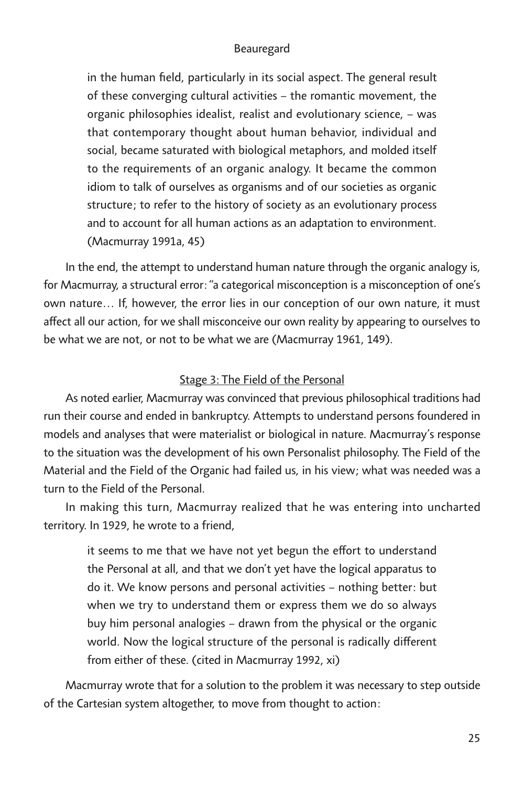in the human field, particularly in its social aspect. The general result *of these converging cultural activities – the romantic movement, the organic philosophies idealist, realist and evolutionary science, – was that contemporary thought about human behavior, individual and social, became saturated with biological metaphors, and molded itself to the requirements of an organic analogy. It became the common idiom to talk of ourselves as organisms and of our societies as organic structure; to refer to the history of society as an evolutionary process and to account for all human actions as an adaptation to environment. (Macmurray 1991a, 45)*

*In the end, the attempt to understand human nature through the organic analogy is, for Macmurray, a structural error: "a categorical misconception is a misconception of one's own nature… If, however, the error lies in our conception of our own nature, it must affect all our action, for we shall misconceive our own reality by appearing to ourselves to be what we are not, or not to be what we are (Macmurray 1961, 149).*

# *Stage 3: The Field of the Personal*

*As noted earlier, Macmurray was convinced that previous philosophical traditions had run their course and ended in bankruptcy. Attempts to understand persons foundered in models and analyses that were materialist or biological in nature. Macmurray's response*  to the situation was the development of his own Personalist philosophy. The Field of the *Material and the Field of the Organic had failed us, in his view; what was needed was a turn to the Field of the Personal.* 

In making this turn, Macmurray realized that he was entering into uncharted *territory. In 1929, he wrote to a friend,*

*it seems to me that we have not yet begun the effort to understand the Personal at all, and that we don't yet have the logical apparatus to do it. We know persons and personal activities – nothing better: but when we try to understand them or express them we do so always buy him personal analogies – drawn from the physical or the organic world. Now the logical structure of the personal is radically different from either of these. (cited in Macmurray 1992, xi)*

*Macmurray wrote that for a solution to the problem it was necessary to step outside of the Cartesian system altogether, to move from thought to action:*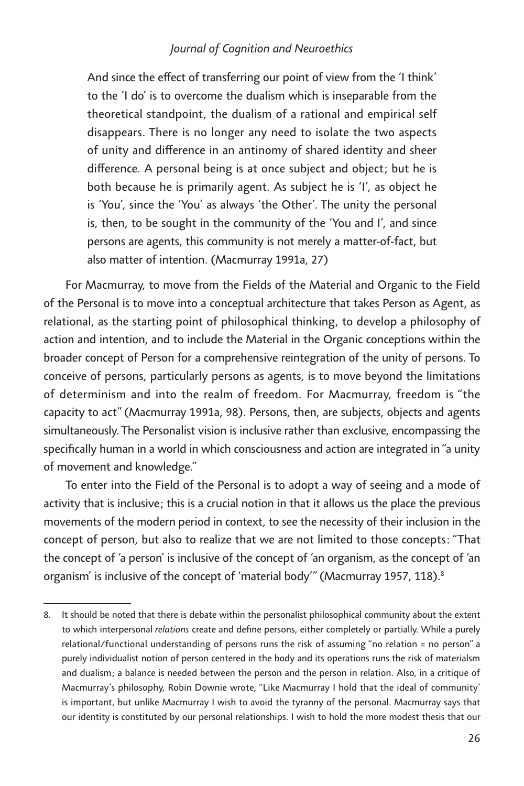*And since the effect of transferring our point of view from the 'I think' to the 'I do' is to overcome the dualism which is inseparable from the theoretical standpoint, the dualism of a rational and empirical self disappears. There is no longer any need to isolate the two aspects of unity and difference in an antinomy of shared identity and sheer difference. A personal being is at once subject and object; but he is both because he is primarily agent. As subject he is 'I', as object he is 'You', since the 'You' as always 'the Other'. The unity the personal is, then, to be sought in the community of the 'You and I', and since persons are agents, this community is not merely a matter-of-fact, but also matter of intention. (Macmurray 1991a, 27)*

*For Macmurray, to move from the Fields of the Material and Organic to the Field of the Personal is to move into a conceptual architecture that takes Person as Agent, as*  relational, as the starting point of philosophical thinking, to develop a philosophy of *action and intention, and to include the Material in the Organic conceptions within the broader concept of Person for a comprehensive reintegration of the unity of persons. To conceive of persons, particularly persons as agents, is to move beyond the limitations of determinism and into the realm of freedom. For Macmurray, freedom is "the capacity to act" (Macmurray 1991a, 98). Persons, then, are subjects, objects and agents simultaneously. The Personalist vision is inclusive rather than exclusive, encompassing the specifically human in a world in which consciousness and action are integrated in "a unity of movement and knowledge."*

*To enter into the Field of the Personal is to adopt a way of seeing and a mode of activity that is inclusive; this is a crucial notion in that it allows us the place the previous movements of the modern period in context, to see the necessity of their inclusion in the concept of person, but also to realize that we are not limited to those concepts: "That the concept of 'a person' is inclusive of the concept of 'an organism, as the concept of 'an organism' is inclusive of the concept of 'material body'" (Macmurray 1957, 118).8*

*<sup>8.</sup> It should be noted that there is debate within the personalist philosophical community about the extent to which interpersonal relations create and define persons, either completely or partially. While a purely relational/functional understanding of persons runs the risk of assuming "no relation = no person" a purely individualist notion of person centered in the body and its operations runs the risk of materialsm*  and dualism; a balance is needed between the person and the person in relation. Also, in a critique of *Macmurray's philosophy, Robin Downie wrote, "Like Macmurray I hold that the ideal of community'*  is important, but unlike Macmurray I wish to avoid the tyranny of the personal. Macmurray says that *our identity is constituted by our personal relationships. I wish to hold the more modest thesis that our*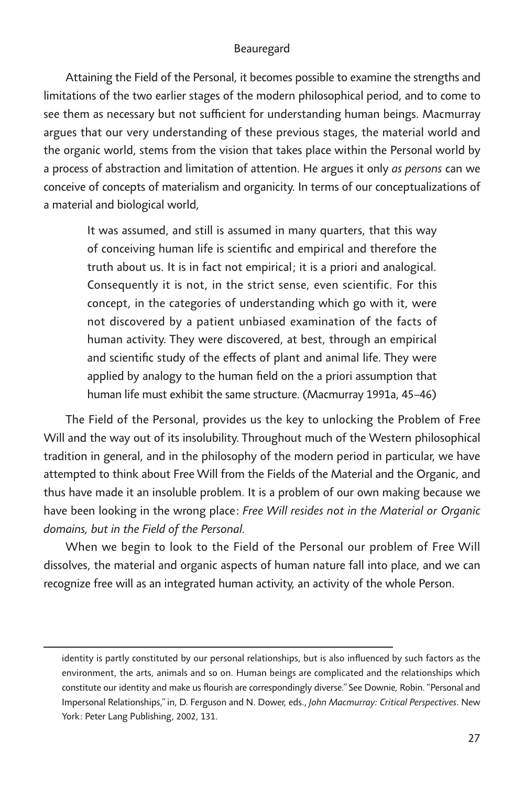*Attaining the Field of the Personal, it becomes possible to examine the strengths and limitations of the two earlier stages of the modern philosophical period, and to come to see them as necessary but not sufficient for understanding human beings. Macmurray*  argues that our very understanding of these previous stages, the material world and *the organic world, stems from the vision that takes place within the Personal world by a* process of abstraction and limitation of attention. He argues it only *as persons* can we *conceive of concepts of materialism and organicity. In terms of our conceptualizations of a material and biological world,*

*It was assumed, and still is assumed in many quarters, that this way of conceiving human life is scientific and empirical and therefore the truth about us. It is in fact not empirical; it is a priori and analogical. Consequently it is not, in the strict sense, even scientific. For this concept, in the categories of understanding which go with it, were not discovered by a patient unbiased examination of the facts of human activity. They were discovered, at best, through an empirical and scientific study of the effects of plant and animal life. They were applied by analogy to the human field on the a priori assumption that human life must exhibit the same structure. (Macmurray 1991a, 45–46)*

*The Field of the Personal, provides us the key to unlocking the Problem of Free*  Will and the way out of its insolubility. Throughout much of the Western philosophical *tradition in general, and in the philosophy of the modern period in particular, we have attempted to think about Free Will from the Fields of the Material and the Organic, and thus have made it an insoluble problem. It is a problem of our own making because we have been looking in the wrong place: Free Will resides not in the Material or Organic domains, but in the Field of the Personal.*

*When we begin to look to the Field of the Personal our problem of Free Will dissolves, the material and organic aspects of human nature fall into place, and we can recognize free will as an integrated human activity, an activity of the whole Person.*

*identity is partly constituted by our personal relationships, but is also influenced by such factors as the environment, the arts, animals and so on. Human beings are complicated and the relationships which constitute our identity and make us flourish are correspondingly diverse." See Downie, Robin. "Personal and Impersonal Relationships," in, D. Ferguson and N. Dower, eds., John Macmurray: Critical Perspectives. New York: Peter Lang Publishing, 2002, 131.*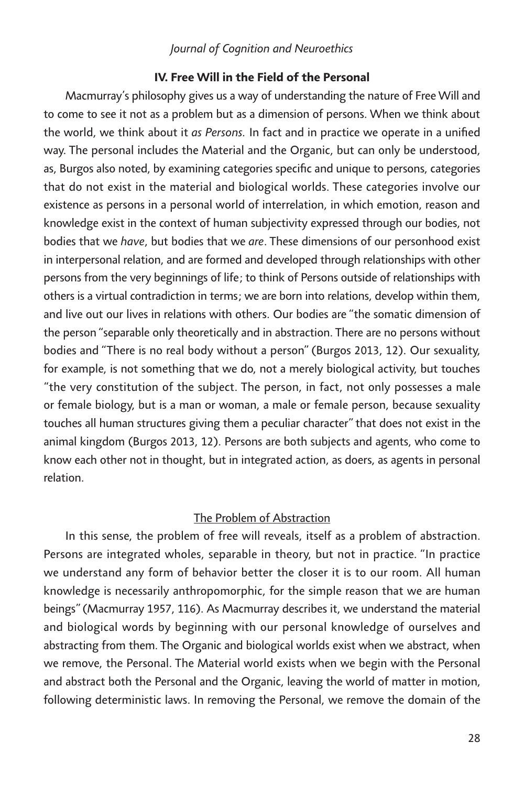#### *IV. Free Will in the Field of the Personal*

*Macmurray's philosophy gives us a way of understanding the nature of Free Will and*  to come to see it not as a problem but as a dimension of persons. When we think about *the world, we think about it as Persons. In fact and in practice we operate in a unified way. The personal includes the Material and the Organic, but can only be understood, as, Burgos also noted, by examining categories specific and unique to persons, categories that do not exist in the material and biological worlds. These categories involve our existence as persons in a personal world of interrelation, in which emotion, reason and knowledge exist in the context of human subjectivity expressed through our bodies, not bodies that we have, but bodies that we are. These dimensions of our personhood exist in interpersonal relation, and are formed and developed through relationships with other persons from the very beginnings of life; to think of Persons outside of relationships with others is a virtual contradiction in terms; we are born into relations, develop within them, and live out our lives in relations with others. Our bodies are "the somatic dimension of the person "separable only theoretically and in abstraction. There are no persons without bodies and "There is no real body without a person" (Burgos 2013, 12). Our sexuality, for example, is not something that we do, not a merely biological activity, but touches "the very constitution of the subject. The person, in fact, not only possesses a male or female biology, but is a man or woman, a male or female person, because sexuality touches all human structures giving them a peculiar character" that does not exist in the animal kingdom (Burgos 2013, 12). Persons are both subjects and agents, who come to know each other not in thought, but in integrated action, as doers, as agents in personal relation.*

# *The Problem of Abstraction*

*In this sense, the problem of free will reveals, itself as a problem of abstraction. Persons are integrated wholes, separable in theory, but not in practice. "In practice we understand any form of behavior better the closer it is to our room. All human knowledge is necessarily anthropomorphic, for the simple reason that we are human beings" (Macmurray 1957, 116). As Macmurray describes it, we understand the material and biological words by beginning with our personal knowledge of ourselves and*  abstracting from them. The Organic and biological worlds exist when we abstract, when we remove, the Personal. The Material world exists when we begin with the Personal *and abstract both the Personal and the Organic, leaving the world of matter in motion, following deterministic laws. In removing the Personal, we remove the domain of the*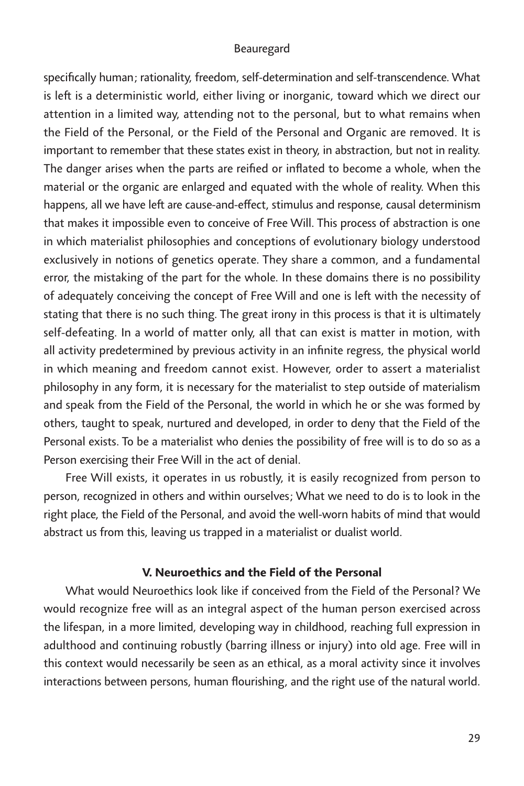*specifically human; rationality, freedom, self-determination and self-transcendence. What*  is left is a deterministic world, either living or inorganic, toward which we direct our *attention in a limited way, attending not to the personal, but to what remains when the Field of the Personal, or the Field of the Personal and Organic are removed. It is important to remember that these states exist in theory, in abstraction, but not in reality.*  The danger arises when the parts are reified or inflated to become a whole, when the *material or the organic are enlarged and equated with the whole of reality. When this happens, all we have left are cause-and-effect, stimulus and response, causal determinism that makes it impossible even to conceive of Free Will. This process of abstraction is one in which materialist philosophies and conceptions of evolutionary biology understood exclusively in notions of genetics operate. They share a common, and a fundamental error, the mistaking of the part for the whole. In these domains there is no possibility of adequately conceiving the concept of Free Will and one is left with the necessity of stating that there is no such thing. The great irony in this process is that it is ultimately self-defeating. In a world of matter only, all that can exist is matter in motion, with all activity predetermined by previous activity in an infinite regress, the physical world in which meaning and freedom cannot exist. However, order to assert a materialist philosophy in any form, it is necessary for the materialist to step outside of materialism and speak from the Field of the Personal, the world in which he or she was formed by others, taught to speak, nurtured and developed, in order to deny that the Field of the Personal exists. To be a materialist who denies the possibility of free will is to do so as a Person exercising their Free Will in the act of denial.*

*Free Will exists, it operates in us robustly, it is easily recognized from person to person, recognized in others and within ourselves; What we need to do is to look in the*  right place, the Field of the Personal, and avoid the well-worn habits of mind that would *abstract us from this, leaving us trapped in a materialist or dualist world.*

# *V. Neuroethics and the Field of the Personal*

*What would Neuroethics look like if conceived from the Field of the Personal? We would recognize free will as an integral aspect of the human person exercised across the lifespan, in a more limited, developing way in childhood, reaching full expression in*  adulthood and continuing robustly (barring illness or injury) into old age. Free will in *this context would necessarily be seen as an ethical, as a moral activity since it involves interactions between persons, human flourishing, and the right use of the natural world.*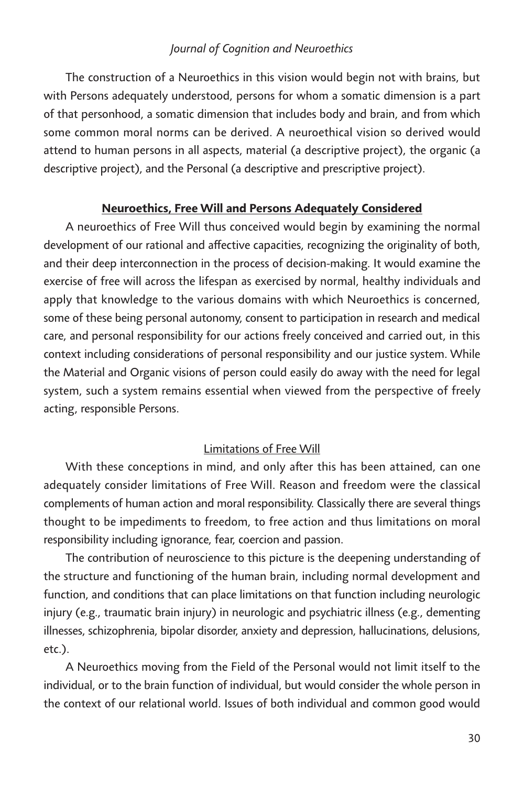*The construction of a Neuroethics in this vision would begin not with brains, but with Persons adequately understood, persons for whom a somatic dimension is a part of that personhood, a somatic dimension that includes body and brain, and from which some common moral norms can be derived. A neuroethical vision so derived would attend to human persons in all aspects, material (a descriptive project), the organic (a descriptive project), and the Personal (a descriptive and prescriptive project).* 

# *Neuroethics, Free Will and Persons Adequately Considered*

*A neuroethics of Free Will thus conceived would begin by examining the normal development of our rational and affective capacities, recognizing the originality of both, and their deep interconnection in the process of decision-making. It would examine the exercise of free will across the lifespan as exercised by normal, healthy individuals and*  apply that knowledge to the various domains with which Neuroethics is concerned, *some of these being personal autonomy, consent to participation in research and medical care, and personal responsibility for our actions freely conceived and carried out, in this context including considerations of personal responsibility and our justice system. While the Material and Organic visions of person could easily do away with the need for legal system, such a system remains essential when viewed from the perspective of freely acting, responsible Persons.* 

# *Limitations of Free Will*

*With these conceptions in mind, and only after this has been attained, can one*  adequately consider limitations of Free Will. Reason and freedom were the classical *complements of human action and moral responsibility. Classically there are several things thought to be impediments to freedom, to free action and thus limitations on moral responsibility including ignorance, fear, coercion and passion.* 

The contribution of neuroscience to this picture is the deepening understanding of *the structure and functioning of the human brain, including normal development and function, and conditions that can place limitations on that function including neurologic injury (e.g., traumatic brain injury) in neurologic and psychiatric illness (e.g., dementing illnesses, schizophrenia, bipolar disorder, anxiety and depression, hallucinations, delusions, etc.).*

*A Neuroethics moving from the Field of the Personal would not limit itself to the individual, or to the brain function of individual, but would consider the whole person in the context of our relational world. Issues of both individual and common good would*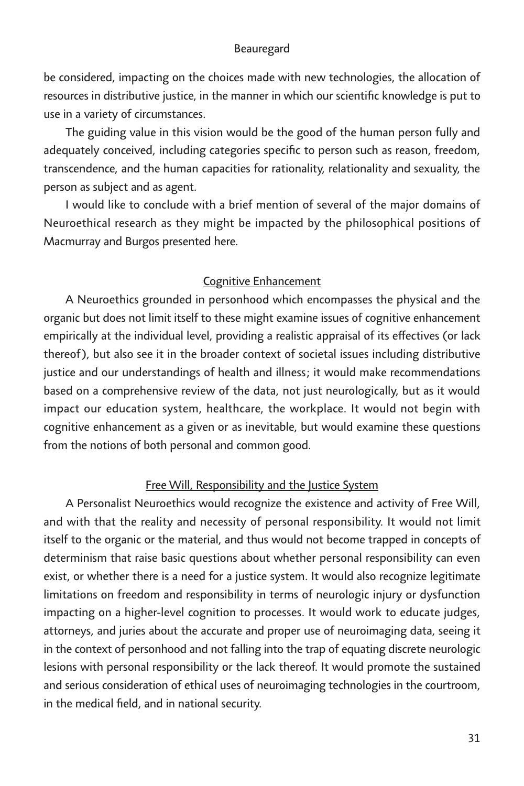be considered, impacting on the choices made with new technologies, the allocation of *resources in distributive justice, in the manner in which our scientific knowledge is put to use in a variety of circumstances.*

*The guiding value in this vision would be the good of the human person fully and adequately conceived, including categories specific to person such as reason, freedom, transcendence, and the human capacities for rationality, relationality and sexuality, the person as subject and as agent.*

I would like to conclude with a brief mention of several of the major domains of *Neuroethical research as they might be impacted by the philosophical positions of Macmurray and Burgos presented here.*

# *Cognitive Enhancement*

*A Neuroethics grounded in personhood which encompasses the physical and the organic but does not limit itself to these might examine issues of cognitive enhancement empirically at the individual level, providing a realistic appraisal of its effectives (or lack thereof), but also see it in the broader context of societal issues including distributive justice and our understandings of health and illness; it would make recommendations*  based on a comprehensive review of the data, not just neurologically, but as it would *impact our education system, healthcare, the workplace. It would not begin with cognitive enhancement as a given or as inevitable, but would examine these questions from the notions of both personal and common good.*

# *Free Will, Responsibility and the Justice System*

*A Personalist Neuroethics would recognize the existence and activity of Free Will,*  and with that the reality and necessity of personal responsibility. It would not limit *itself to the organic or the material, and thus would not become trapped in concepts of determinism that raise basic questions about whether personal responsibility can even exist, or whether there is a need for a justice system. It would also recognize legitimate limitations on freedom and responsibility in terms of neurologic injury or dysfunction impacting on a higher-level cognition to processes. It would work to educate judges, attorneys, and juries about the accurate and proper use of neuroimaging data, seeing it in the context of personhood and not falling into the trap of equating discrete neurologic*  lesions with personal responsibility or the lack thereof. It would promote the sustained *and serious consideration of ethical uses of neuroimaging technologies in the courtroom, in the medical field, and in national security.*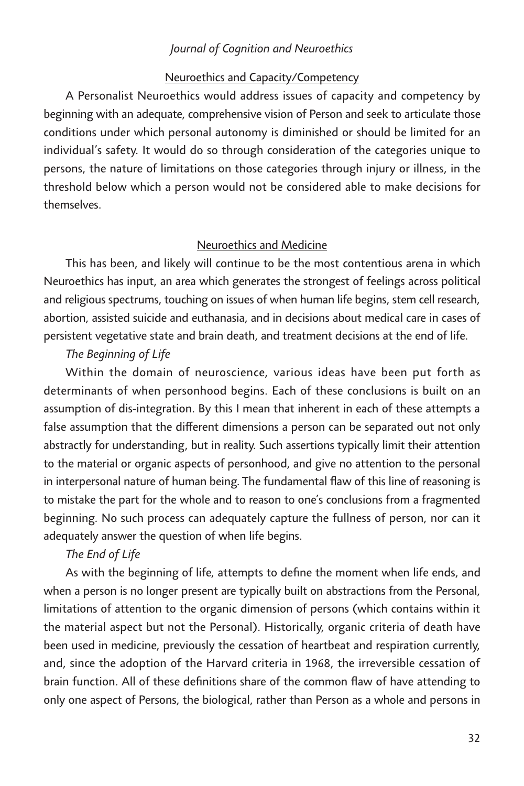#### *Neuroethics and Capacity/Competency*

*A Personalist Neuroethics would address issues of capacity and competency by beginning with an adequate, comprehensive vision of Person and seek to articulate those conditions under which personal autonomy is diminished or should be limited for an individual's safety. It would do so through consideration of the categories unique to persons, the nature of limitations on those categories through injury or illness, in the threshold below which a person would not be considered able to make decisions for themselves.*

# *Neuroethics and Medicine*

*This has been, and likely will continue to be the most contentious arena in which Neuroethics has input, an area which generates the strongest of feelings across political and religious spectrums, touching on issues of when human life begins, stem cell research, abortion, assisted suicide and euthanasia, and in decisions about medical care in cases of persistent vegetative state and brain death, and treatment decisions at the end of life.*

# *The Beginning of Life*

*Within the domain of neuroscience, various ideas have been put forth as determinants of when personhood begins. Each of these conclusions is built on an assumption of dis-integration. By this I mean that inherent in each of these attempts a*  false assumption that the different dimensions a person can be separated out not only *abstractly for understanding, but in reality. Such assertions typically limit their attention*  to the material or organic aspects of personhood, and give no attention to the personal in interpersonal nature of human being. The fundamental flaw of this line of reasoning is *to mistake the part for the whole and to reason to one's conclusions from a fragmented*  beginning. No such process can adequately capture the fullness of person, nor can it *adequately answer the question of when life begins.*

# *The End of Life*

*As with the beginning of life, attempts to define the moment when life ends, and*  when a person is no longer present are typically built on abstractions from the Personal, limitations of attention to the organic dimension of persons (which contains within it *the material aspect but not the Personal). Historically, organic criteria of death have been used in medicine, previously the cessation of heartbeat and respiration currently,*  and, since the adoption of the Harvard criteria in 1968, the irreversible cessation of *brain function. All of these definitions share of the common flaw of have attending to only one aspect of Persons, the biological, rather than Person as a whole and persons in*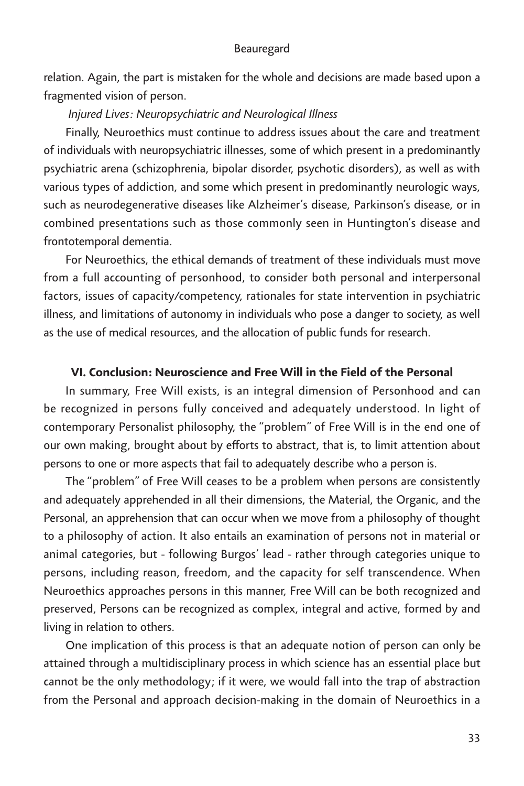relation. Again, the part is mistaken for the whole and decisions are made based upon a *fragmented vision of person.* 

# *Injured Lives: Neuropsychiatric and Neurological Illness*

*Finally, Neuroethics must continue to address issues about the care and treatment of individuals with neuropsychiatric illnesses, some of which present in a predominantly psychiatric arena (schizophrenia, bipolar disorder, psychotic disorders), as well as with various types of addiction, and some which present in predominantly neurologic ways, such as neurodegenerative diseases like Alzheimer's disease, Parkinson's disease, or in combined presentations such as those commonly seen in Huntington's disease and frontotemporal dementia.*

For Neuroethics, the ethical demands of treatment of these individuals must move from a full accounting of personhood, to consider both personal and interpersonal *factors, issues of capacity/competency, rationales for state intervention in psychiatric*  illness, and limitations of autonomy in individuals who pose a danger to society, as well *as the use of medical resources, and the allocation of public funds for research.*

# *VI. Conclusion: Neuroscience and Free Will in the Field of the Personal*

*In summary, Free Will exists, is an integral dimension of Personhood and can*  be recognized in persons fully conceived and adequately understood. In light of *contemporary Personalist philosophy, the "problem" of Free Will is in the end one of our own making, brought about by efforts to abstract, that is, to limit attention about persons to one or more aspects that fail to adequately describe who a person is.* 

*The "problem" of Free Will ceases to be a problem when persons are consistently and adequately apprehended in all their dimensions, the Material, the Organic, and the Personal, an apprehension that can occur when we move from a philosophy of thought*  to a philosophy of action. It also entails an examination of persons not in material or *animal categories, but - following Burgos' lead - rather through categories unique to persons, including reason, freedom, and the capacity for self transcendence. When Neuroethics approaches persons in this manner, Free Will can be both recognized and preserved, Persons can be recognized as complex, integral and active, formed by and living in relation to others.*

*One implication of this process is that an adequate notion of person can only be attained through a multidisciplinary process in which science has an essential place but cannot be the only methodology; if it were, we would fall into the trap of abstraction*  from the Personal and approach decision-making in the domain of Neuroethics in a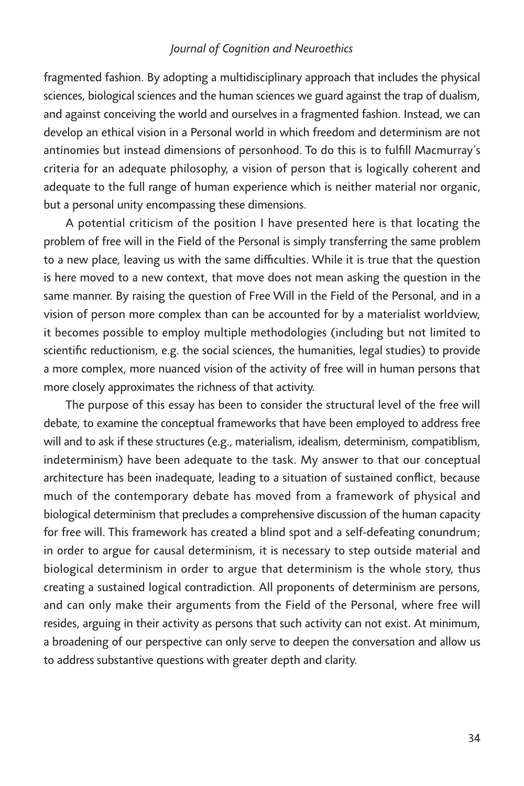fragmented fashion. By adopting a multidisciplinary approach that includes the physical *sciences, biological sciences and the human sciences we guard against the trap of dualism, and against conceiving the world and ourselves in a fragmented fashion. Instead, we can develop an ethical vision in a Personal world in which freedom and determinism are not antinomies but instead dimensions of personhood. To do this is to fulfill Macmurray's criteria for an adequate philosophy, a vision of person that is logically coherent and adequate to the full range of human experience which is neither material nor organic, but a personal unity encompassing these dimensions.*

*A potential criticism of the position I have presented here is that locating the problem of free will in the Field of the Personal is simply transferring the same problem*  to a new place, leaving us with the same difficulties. While it is true that the question is here moved to a new context, that move does not mean asking the question in the same manner. By raising the question of Free Will in the Field of the Personal, and in a *vision of person more complex than can be accounted for by a materialist worldview, it becomes possible to employ multiple methodologies (including but not limited to scientific reductionism, e.g. the social sciences, the humanities, legal studies) to provide a more complex, more nuanced vision of the activity of free will in human persons that more closely approximates the richness of that activity.* 

The purpose of this essay has been to consider the structural level of the free will *debate, to examine the conceptual frameworks that have been employed to address free will and to ask if these structures (e.g., materialism, idealism, determinism, compatiblism,*  indeterminism) have been adequate to the task. My answer to that our conceptual *architecture has been inadequate, leading to a situation of sustained conflict, because much of the contemporary debate has moved from a framework of physical and biological determinism that precludes a comprehensive discussion of the human capacity for free will. This framework has created a blind spot and a self-defeating conundrum; in order to argue for causal determinism, it is necessary to step outside material and biological determinism in order to argue that determinism is the whole story, thus creating a sustained logical contradiction. All proponents of determinism are persons,*  and can only make their arguments from the Field of the Personal, where free will *resides, arguing in their activity as persons that such activity can not exist. At minimum, a broadening of our perspective can only serve to deepen the conversation and allow us to address substantive questions with greater depth and clarity.*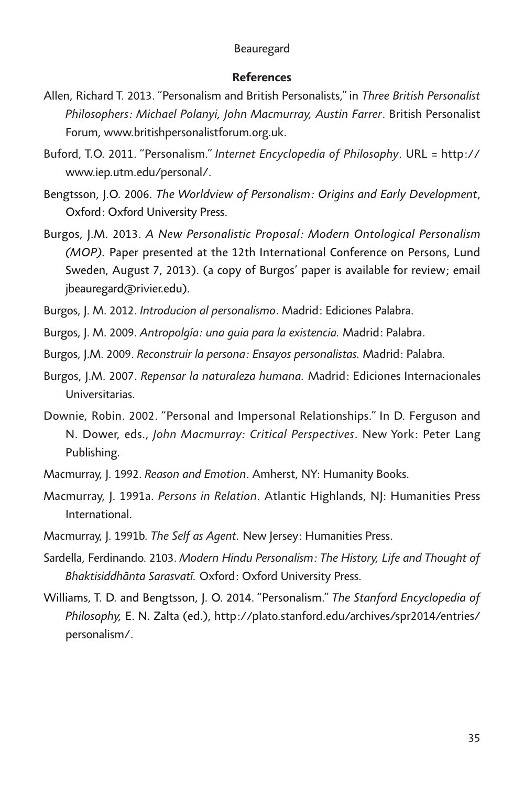#### *References*

- *Allen, Richard T. 2013. "Personalism and British Personalists," in Three British Personalist Philosophers: Michael Polanyi, John Macmurray, Austin Farrer. British Personalist Forum, www.britishpersonalistforum.org.uk.*
- *Buford, T.O. 2011. "Personalism." Internet Encyclopedia of Philosophy. URL = http:// www.iep.utm.edu/personal/.*
- *Bengtsson, J.O. 2006. The Worldview of Personalism: Origins and Early Development, Oxford: Oxford University Press.*
- *Burgos, J.M. 2013. A New Personalistic Proposal: Modern Ontological Personalism (MOP). Paper presented at the 12th International Conference on Persons, Lund Sweden, August 7, 2013). (a copy of Burgos' paper is available for review; email jbeauregard@rivier.edu).*
- *Burgos, J. M. 2012. Introducion al personalismo. Madrid: Ediciones Palabra.*
- *Burgos, J. M. 2009. Antropolgía: una guia para la existencia. Madrid: Palabra.*
- *Burgos, J.M. 2009. Reconstruir la persona: Ensayos personalistas. Madrid: Palabra.*
- *Burgos, J.M. 2007. Repensar la naturaleza humana. Madrid: Ediciones Internacionales Universitarias.*
- *Downie, Robin. 2002. "Personal and Impersonal Relationships." In D. Ferguson and N. Dower, eds., John Macmurray: Critical Perspectives. New York: Peter Lang Publishing.*
- *Macmurray, J. 1992. Reason and Emotion. Amherst, NY: Humanity Books.*
- *Macmurray, J. 1991a. Persons in Relation. Atlantic Highlands, NJ: Humanities Press International.*
- *Macmurray, J. 1991b. The Self as Agent. New Jersey: Humanities Press.*
- *Sardella, Ferdinando. 2103. Modern Hindu Personalism: The History, Life and Thought of Bhaktisiddhānta Sarasvatī. Oxford: Oxford University Press.*
- *Williams, T. D. and Bengtsson, J. O. 2014. "Personalism." The Stanford Encyclopedia of Philosophy, E. N. Zalta (ed.), http://plato.stanford.edu/archives/spr2014/entries/ personalism/.*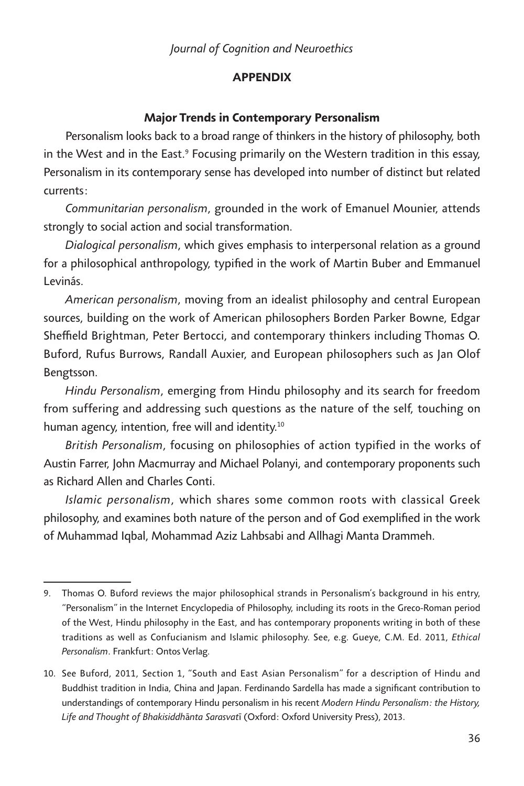# *APPENDIX*

# *Major Trends in Contemporary Personalism*

*Personalism looks back to a broad range of thinkers in the history of philosophy, both*  in the West and in the East.<sup>9</sup> Focusing primarily on the Western tradition in this essay, *Personalism in its contemporary sense has developed into number of distinct but related currents:*

*Communitarian personalism, grounded in the work of Emanuel Mounier, attends strongly to social action and social transformation.*

*Dialogical personalism, which gives emphasis to interpersonal relation as a ground*  for a philosophical anthropology, typified in the work of Martin Buber and Emmanuel *Levinás.*

*American personalism, moving from an idealist philosophy and central European sources, building on the work of American philosophers Borden Parker Bowne, Edgar Sheffield Brightman, Peter Bertocci, and contemporary thinkers including Thomas O. Buford, Rufus Burrows, Randall Auxier, and European philosophers such as Jan Olof Bengtsson.*

*Hindu Personalism, emerging from Hindu philosophy and its search for freedom from suffering and addressing such questions as the nature of the self, touching on human agency, intention, free will and identity.10*

*British Personalism, focusing on philosophies of action typified in the works of Austin Farrer, John Macmurray and Michael Polanyi, and contemporary proponents such as Richard Allen and Charles Conti.*

*Islamic personalism, which shares some common roots with classical Greek philosophy, and examines both nature of the person and of God exemplified in the work of Muhammad Iqbal, Mohammad Aziz Lahbsabi and Allhagi Manta Drammeh.*

*<sup>9.</sup> Thomas O. Buford reviews the major philosophical strands in Personalism's background in his entry, "Personalism" in the Internet Encyclopedia of Philosophy, including its roots in the Greco-Roman period of the West, Hindu philosophy in the East, and has contemporary proponents writing in both of these*  traditions as well as Confucianism and Islamic philosophy. See, e.g. Gueye, C.M. Ed. 2011, *Ethical Personalism. Frankfurt: Ontos Verlag.*

*<sup>10.</sup> See Buford, 2011, Section 1, "South and East Asian Personalism" for a description of Hindu and Buddhist tradition in India, China and Japan. Ferdinando Sardella has made a significant contribution to understandings of contemporary Hindu personalism in his recent Modern Hindu Personalism: the History, Life and Thought of Bhakisiddhānta Sarasvatī (Oxford: Oxford University Press), 2013.*